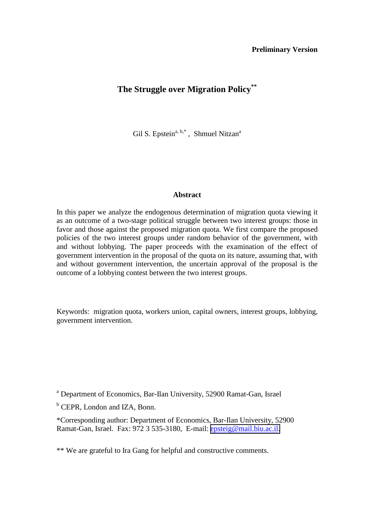# **The Struggle over Migration Policy\*\***

Gil S. Epstein<sup>a, b,\*</sup>, Shmuel Nitzan<sup>a</sup>

## **Abstract**

In this paper we analyze the endogenous determination of migration quota viewing it as an outcome of a two-stage political struggle between two interest groups: those in favor and those against the proposed migration quota. We first compare the proposed policies of the two interest groups under random behavior of the government, with and without lobbying. The paper proceeds with the examination of the effect of government intervention in the proposal of the quota on its nature, assuming that, with and without government intervention, the uncertain approval of the proposal is the outcome of a lobbying contest between the two interest groups.

Keywords: migration quota, workers union, capital owners, interest groups, lobbying, government intervention.

<sup>a</sup> Department of Economics, Bar-Ilan University, 52900 Ramat-Gan, Israel

<sup>b</sup> CEPR, London and IZA, Bonn.

\*Corresponding author: Department of Economics, Bar-Ilan University, 52900 Ramat-Gan, Israel. Fax: 972 3 535-3180, E-mail: [epsteig@mail.biu.ac.il.](mailto:nitzans@mail.biu.ac.il)

\*\* We are grateful to Ira Gang for helpful and constructive comments.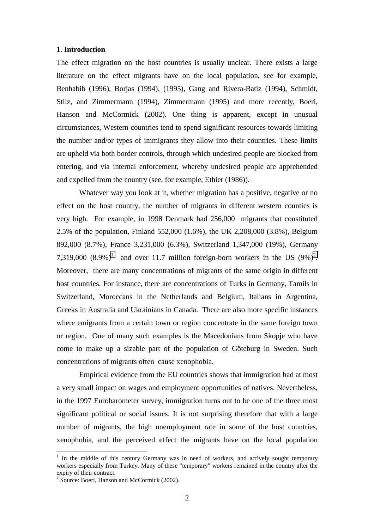#### **1**. **Introduction**

The effect migration on the host countries is usually unclear. There exists a large literature on the effect migrants have on the local population, see for example, Benhabib (1996), Borjas (1994), (1995), Gang and Rivera-Batiz (1994), Schmidt, Stilz, and Zimmermann (1994), Zimmermann (1995) and more recently, Boeri, Hanson and McCormick (2002). One thing is apparent, except in unusual circumstances, Western countries tend to spend significant resources towards limiting the number and/or types of immigrants they allow into their countries. These limits are upheld via both border controls, through which undesired people are blocked from entering, and via internal enforcement, whereby undesired people are apprehended and expelled from the country (see, for example, Ethier (1986)).

Whatever way you look at it, whether migration has a positive, negative or no effect on the host country, the number of migrants in different western counties is very high. For example, in 1998 Denmark had 256,000 migrants that constituted 2.5% of the population, Finland 552,000 (1.6%), the UK 2,208,000 (3.8%), Belgium 892,000 (8.7%), France 3,231,000 (6.3%), Switzerland 1,347,000 (19%), Germany 7,319,000  $(8.9\%)^1$  and over 11.7 million foreign-born workers in the US  $(9\%)^2$ . Moreover, there are many concentrations of migrants of the same origin in different host countries. For instance, there are concentrations of Turks in Germany, Tamils in Switzerland, Moroccans in the Netherlands and Belgium, Italians in Argentina, Greeks in Australia and Ukrainians in Canada. There are also more specific instances where emigrants from a certain town or region concentrate in the same foreign town or region. One of many such examples is the Macedonians from Skopje who have come to make up a sizable part of the population of Göteburg in Sweden. Such concentrations of migrants often cause xenophobia.

Empirical evidence from the EU countries shows that immigration had at most a very small impact on wages and employment opportunities of natives. Nevertheless, in the 1997 Eurobarometer survey, immigration turns out to be one of the three most significant political or social issues. It is not surprising therefore that with a large number of migrants, the high unemployment rate in some of the host countries, xenophobia, and the perceived effect the migrants have on the local population

<sup>1</sup> In the middle of this century Germany was in need of workers, and actively sought temporary workers especially from Turkey. Many of these "temporary" workers remained in the country after the expiry of their contract.<br><sup>2</sup> Source: Boeri, Hanson and McCormick (2002).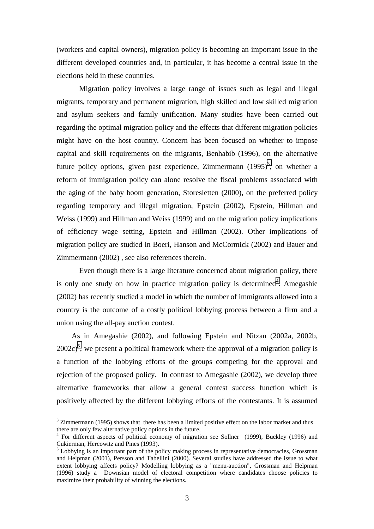(workers and capital owners), migration policy is becoming an important issue in the different developed countries and, in particular, it has become a central issue in the elections held in these countries.

Migration policy involves a large range of issues such as legal and illegal migrants, temporary and permanent migration, high skilled and low skilled migration and asylum seekers and family unification. Many studies have been carried out regarding the optimal migration policy and the effects that different migration policies might have on the host country. Concern has been focused on whether to impose capital and skill requirements on the migrants, Benhabib (1996), on the alternative future policy options, given past experience, Zimmermann  $(1995)^3$ , on whether a reform of immigration policy can alone resolve the fiscal problems associated with the aging of the baby boom generation, Storesletten (2000), on the preferred policy regarding temporary and illegal migration, Epstein (2002), Epstein, Hillman and Weiss (1999) and Hillman and Weiss (1999) and on the migration policy implications of efficiency wage setting, Epstein and Hillman (2002). Other implications of migration policy are studied in Boeri, Hanson and McCormick (2002) and Bauer and Zimmermann (2002) , see also references therein.

Even though there is a large literature concerned about migration policy, there is only one study on how in practice migration policy is determined<sup>4</sup>. Amegashie (2002) has recently studied a model in which the number of immigrants allowed into a country is the outcome of a costly political lobbying process between a firm and a union using the all-pay auction contest.

 As in Amegashie (2002), and following Epstein and Nitzan (2002a, 2002b,  $2002c$ <sup>5</sup>, we present a political framework where the approval of a migration policy is a function of the lobbying efforts of the groups competing for the approval and rejection of the proposed policy. In contrast to Amegashie (2002), we develop three alternative frameworks that allow a general contest success function which is positively affected by the different lobbying efforts of the contestants. It is assumed

<sup>&</sup>lt;sup>3</sup> Zimmermann (1995) shows that there has been a limited positive effect on the labor market and thus there are only few alternative policy options in the future,

<sup>&</sup>lt;sup>4</sup> For different aspects of political economy of migration see Sollner (1999), Buckley (1996) and Cukierman, Hercowitz and Pines (1993).

<sup>&</sup>lt;sup>5</sup> Lobbying is an important part of the policy making process in representative democracies, Grossman and Helpman (2001), Persson and Tabellini (2000). Several studies have addressed the issue to what extent lobbying affects policy? Modelling lobbying as a "menu-auction", Grossman and Helpman (1996) study a Downsian model of electoral competition where candidates choose policies to maximize their probability of winning the elections.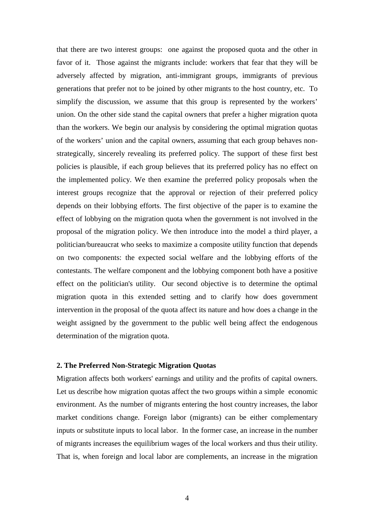that there are two interest groups: one against the proposed quota and the other in favor of it. Those against the migrants include: workers that fear that they will be adversely affected by migration, anti-immigrant groups, immigrants of previous generations that prefer not to be joined by other migrants to the host country, etc. To simplify the discussion, we assume that this group is represented by the workers' union. On the other side stand the capital owners that prefer a higher migration quota than the workers. We begin our analysis by considering the optimal migration quotas of the workers' union and the capital owners, assuming that each group behaves nonstrategically, sincerely revealing its preferred policy. The support of these first best policies is plausible, if each group believes that its preferred policy has no effect on the implemented policy. We then examine the preferred policy proposals when the interest groups recognize that the approval or rejection of their preferred policy depends on their lobbying efforts. The first objective of the paper is to examine the effect of lobbying on the migration quota when the government is not involved in the proposal of the migration policy. We then introduce into the model a third player, a politician/bureaucrat who seeks to maximize a composite utility function that depends on two components: the expected social welfare and the lobbying efforts of the contestants. The welfare component and the lobbying component both have a positive effect on the politician's utility. Our second objective is to determine the optimal migration quota in this extended setting and to clarify how does government intervention in the proposal of the quota affect its nature and how does a change in the weight assigned by the government to the public well being affect the endogenous determination of the migration quota.

# **2. The Preferred Non-Strategic Migration Quotas**

Migration affects both workers' earnings and utility and the profits of capital owners. Let us describe how migration quotas affect the two groups within a simple economic environment. As the number of migrants entering the host country increases, the labor market conditions change. Foreign labor (migrants) can be either complementary inputs or substitute inputs to local labor. In the former case, an increase in the number of migrants increases the equilibrium wages of the local workers and thus their utility. That is, when foreign and local labor are complements, an increase in the migration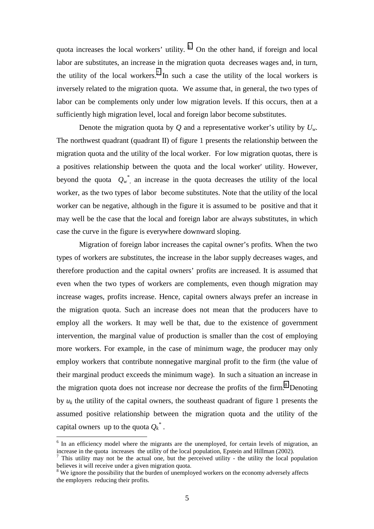quota increases the local workers' utility. <sup>6</sup> On the other hand, if foreign and local labor are substitutes, an increase in the migration quota decreases wages and, in turn, the utility of the local workers.<sup>7</sup> In such a case the utility of the local workers is inversely related to the migration quota. We assume that, in general, the two types of labor can be complements only under low migration levels. If this occurs, then at a sufficiently high migration level, local and foreign labor become substitutes.

Denote the migration quota by  $Q$  and a representative worker's utility by  $U_w$ . The northwest quadrant (quadrant II) of figure 1 presents the relationship between the migration quota and the utility of the local worker. For low migration quotas, there is a positives relationship between the quota and the local worker' utility. However, beyond the quota  $Q_{w}^{*}$  an increase in the quota decreases the utility of the local worker, as the two types of labor become substitutes. Note that the utility of the local worker can be negative, although in the figure it is assumed to be positive and that it may well be the case that the local and foreign labor are always substitutes, in which case the curve in the figure is everywhere downward sloping.

Migration of foreign labor increases the capital owner's profits. When the two types of workers are substitutes, the increase in the labor supply decreases wages, and therefore production and the capital owners' profits are increased. It is assumed that even when the two types of workers are complements, even though migration may increase wages, profits increase. Hence, capital owners always prefer an increase in the migration quota. Such an increase does not mean that the producers have to employ all the workers. It may well be that, due to the existence of government intervention, the marginal value of production is smaller than the cost of employing more workers. For example, in the case of minimum wage, the producer may only employ workers that contribute nonnegative marginal profit to the firm (the value of their marginal product exceeds the minimum wage). In such a situation an increase in the migration quota does not increase nor decrease the profits of the firm. $8$  Denoting by  $u_k$  the utility of the capital owners, the southeast quadrant of figure 1 presents the assumed positive relationship between the migration quota and the utility of the capital owners up to the quota  $Q_k^*$ .

 $6$  In an efficiency model where the migrants are the unemployed, for certain levels of migration, an increase in the quota increases the utility of the local population, Epstein and Hillman (2002).

<sup>7</sup> This utility may not be the actual one, but the perceived utility - the utility the local population believes it will receive under a given migration quota.

<sup>&</sup>lt;sup>8</sup> We ignore the possibility that the burden of unemployed workers on the economy adversely affects the employers reducing their profits.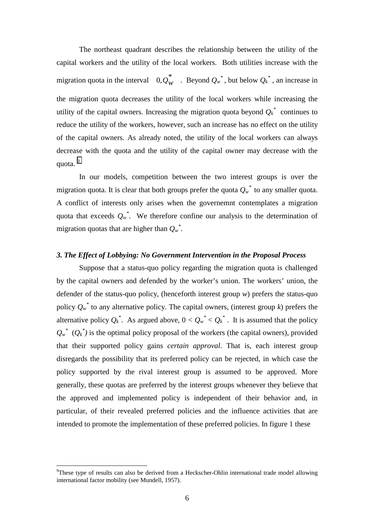The northeast quadrant describes the relationship between the utility of the capital workers and the utility of the local workers. Both utilities increase with the migration quota in the interval  $\left[0, Q_w^*\right]$ . Beyond  $Q_w^*$ , but below  $Q_k^*$ , an increase in the migration quota decreases the utility of the local workers while increasing the utility of the capital owners. Increasing the migration quota beyond  $Q_k^*$  continues to reduce the utility of the workers, however, such an increase has no effect on the utility of the capital owners. As already noted, the utility of the local workers can always decrease with the quota and the utility of the capital owner may decrease with the quota.<sup>9</sup>

In our models, competition between the two interest groups is over the migration quota. It is clear that both groups prefer the quota  $Q_w^*$  to any smaller quota. A conflict of interests only arises when the governemnt contemplates a migration quota that exceeds  $Q_w^*$ . We therefore confine our analysis to the determination of migration quotas that are higher than *Qw \** .

### *3. The Effect of Lobbying: No Government Intervention in the Proposal Process*

Suppose that a status-quo policy regarding the migration quota is challenged by the capital owners and defended by the worker's union. The workers' union, the defender of the status-quo policy, (henceforth interest group *w*) prefers the status-quo policy  $Q_w^*$  to any alternative policy. The capital owners, (interest group *k*) prefers the alternative policy  $Q_k^*$ . As argued above,  $0 < Q_w^* < Q_k^*$ . It is assumed that the policy  $Q_w^*$   $(Q_k^*)$  is the optimal policy proposal of the workers (the capital owners), provided that their supported policy gains *certain approval*. That is, each interest group disregards the possibility that its preferred policy can be rejected, in which case the policy supported by the rival interest group is assumed to be approved. More generally, these quotas are preferred by the interest groups whenever they believe that the approved and implemented policy is independent of their behavior and, in particular, of their revealed preferred policies and the influence activities that are intended to promote the implementation of these preferred policies. In figure 1 these

<sup>&</sup>lt;sup>9</sup>These type of results can also be derived from a Heckscher-Ohlin international trade model allowing international factor mobility (see Mundell, 1957).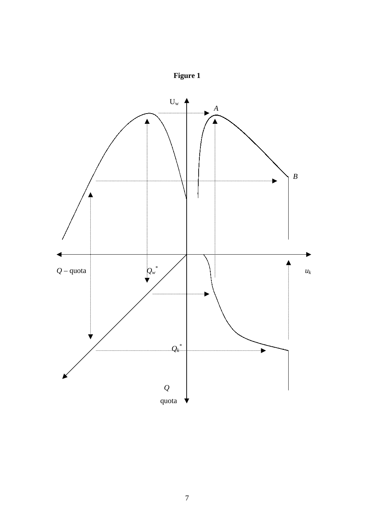

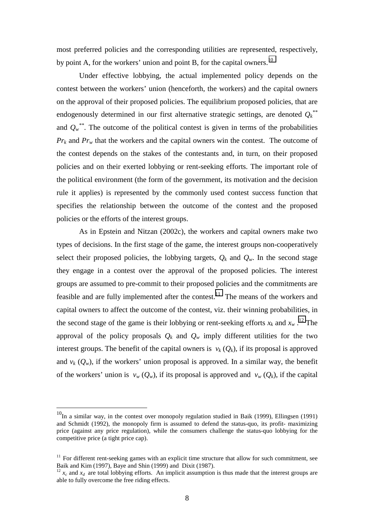most preferred policies and the corresponding utilities are represented, respectively, by point A, for the workers' union and point B, for the capital owners.<sup>10</sup>

Under effective lobbying, the actual implemented policy depends on the contest between the workers' union (henceforth, the workers) and the capital owners on the approval of their proposed policies. The equilibrium proposed policies, that are endogenously determined in our first alternative strategic settings, are denoted  $Q_k^{\ast\ast}$ and  $Q_w^{**}$ . The outcome of the political contest is given in terms of the probabilities  $Pr_k$  and  $Pr_w$  that the workers and the capital owners win the contest. The outcome of the contest depends on the stakes of the contestants and, in turn, on their proposed policies and on their exerted lobbying or rent-seeking efforts. The important role of the political environment (the form of the government, its motivation and the decision rule it applies) is represented by the commonly used contest success function that specifies the relationship between the outcome of the contest and the proposed policies or the efforts of the interest groups.

As in Epstein and Nitzan (2002c), the workers and capital owners make two types of decisions. In the first stage of the game, the interest groups non-cooperatively select their proposed policies, the lobbying targets,  $Q_k$  and  $Q_w$ . In the second stage they engage in a contest over the approval of the proposed policies. The interest groups are assumed to pre-commit to their proposed policies and the commitments are feasible and are fully implemented after the contest.<sup>11</sup> The means of the workers and capital owners to affect the outcome of the contest, viz. their winning probabilities, in the second stage of the game is their lobbying or rent-seeking efforts  $x_k$  and  $x_w$ .<sup>12</sup> The approval of the policy proposals  $Q_k$  and  $Q_w$  imply different utilities for the two interest groups. The benefit of the capital owners is  $v_k(Q_k)$ , if its proposal is approved and  $v_k$  ( $Q_w$ ), if the workers' union proposal is approved. In a similar way, the benefit of the workers' union is  $v_w(Q_w)$ , if its proposal is approved and  $v_w(Q_k)$ , if the capital

 $10$ In a similar way, in the contest over monopoly regulation studied in Baik (1999), Ellingsen (1991) and Schmidt (1992), the monopoly firm is assumed to defend the status-quo, its profit- maximizing price (against any price regulation), while the consumers challenge the status-quo lobbying for the competitive price (a tight price cap).

 $11$  For different rent-seeking games with an explicit time structure that allow for such commitment, see For directin four-seeding suited with the experience Baik and Kim (1997), Baye and Shin (1999) and Dixit (1987).

 $12 x_c$  and  $x_d$  are total lobbying efforts. An implicit assumption is thus made that the interest groups are able to fully overcome the free riding effects.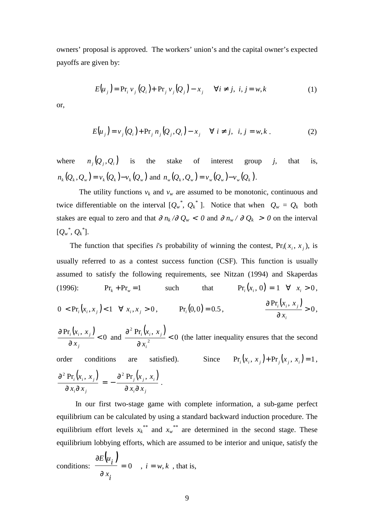owners' proposal is approved. The workers' union's and the capital owner's expected payoffs are given by:

$$
E(u_j) = \Pr_i v_j(Q_i) + \Pr_j v_j(Q_j) - x_j \quad \forall i \neq j, \ i, j = w, k
$$
 (1)

or,

$$
E(u_j) = v_j(Q_i) + \Pr_j n_j(Q_j, Q_i) - x_j \quad \forall \ i \neq j, \ i, j = w, k. \tag{2}
$$

where  $n_i(Q_i, Q_i)$  is the stake of interest group *j*, that is,  $n_k(Q_k, Q_w) = v_k(Q_k) - v_k(Q_w)$  and  $n_w(Q_k, Q_w) = v_w(Q_w) - v_w(Q_k)$ .

The utility functions  $v_k$  and  $v_w$  are assumed to be monotonic, continuous and twice differentiable on the interval  $[Q_w^*, Q_k^*]$ . Notice that when  $Q_w = Q_k$  both stakes are equal to zero and that  $\partial n_k / \partial Q_w < 0$  and  $\partial n_w / \partial Q_k > 0$  on the interval  $[Q_w^*, Q_k^*]$ .

The function that specifies *i*'s probability of winning the contest,  $Pr_i(x_i, x_j)$ , is usually referred to as a contest success function (CSF). This function is usually assumed to satisfy the following requirements, see Nitzan (1994) and Skaperdas (1996):  $\Pr_k + \Pr_w = 1$  such that  $\Pr_i(x_i, 0) = 1 \quad \forall x_i > 0$ ,  $0 < \Pr_i(x_i, x_i) < 1 \quad \forall x_i, x_i > 0$ ,  $\Pr_i(0, 0) = 0.5$ ,  $\frac{\Pr_i(x_i, x_j)}{2}$ ∂  $\partial \Pr_i(x_i, x_j)$ *i x*  $\left(x_i, x_j\right) > 0,$  $\frac{\Pr_i(x_i, x_j)}{2} < 0$ ∂  $i \vee i$ <sup>*,*  $\wedge j$ </sup>  $\left(x_i, x_j\right)$  < 0 and  $\frac{\partial^2 \text{Pr}_i(x_i, x_j)}{\partial x_i}$  < 0 2  $\lt$ ∂  $i \vee i$ <sup>*,*  $\wedge j$ </sup>  $x_i, x_j$ (the latter inequality ensures that the second

∂ *j x* 2 ∂ *i x* order conditions are satisfied). Since  $Pr_i(x_i, x_i) + Pr_i(x_i, x_i) = 1$ ,  $(x_i, x_j)$   $\partial^2 \Pr_i(x_i, x_j)$  $j \vee j$ <sup>*,*  $\lambda_j$ </sup>  $i \n\left\{ \lambda_i, \lambda_j \right\}$ *x x*  $x_i, x_j$ *x* ∂ *x*  $x_i, x_j$  $\frac{\partial^2 \Pr_i(x_i, x_j)}{\partial x_i \partial x_j} = -\frac{\partial^2 \Pr_j(x_j, x_j)}{\partial x_i \partial x_j}$ .

 In our first two-stage game with complete information, a sub-game perfect equilibrium can be calculated by using a standard backward induction procedure. The equilibrium effort levels  $x_k^{**}$  and  $x_w^{**}$  are determined in the second stage. These equilibrium lobbying efforts, which are assumed to be interior and unique, satisfy the

conditions: 
$$
\frac{\partial E(u_i)}{\partial x_i} = 0 \quad , i = w, k \text{ , that is,}
$$

 $i^{\mathbf{U} \cdot \mathbf{\lambda}}$ *j* 

 $i^{\mathbf{U} \cdot \mathbf{\lambda}}$ *j*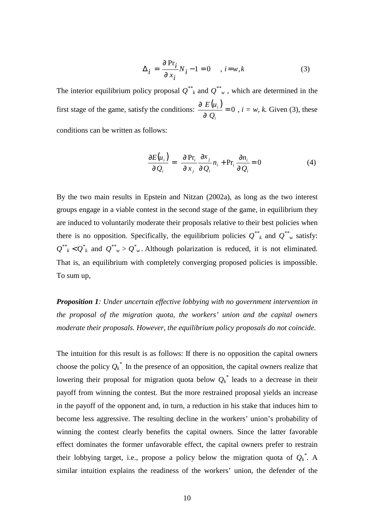$$
\Delta_{i} = \frac{\partial \Pr_{i}}{\partial x_{i}} N_{i} - 1 = 0 \quad , i = w, k \tag{3}
$$

The interior equilibrium policy proposal  $Q^{**}_{k}$  and  $Q^{**}_{w}$ , which are determined in the first stage of the game, satisfy the conditions:  $\frac{\partial E(u_i)}{\partial \theta} = 0$ ∂ ∂ *i i Q*  $\frac{E(u_i)}{dx} = 0$ ,  $i = w$ , k. Given (3), these conditions can be written as follows:

$$
\frac{\partial E(u_i)}{\partial Q_i} = \frac{\partial \Pr_i}{\partial x_j} \frac{\partial x_j}{\partial Q_i} n_i + \Pr_i \frac{\partial n_i}{\partial Q_i} = 0 \tag{4}
$$

By the two main results in Epstein and Nitzan (2002a), as long as the two interest groups engage in a viable contest in the second stage of the game, in equilibrium they are induced to voluntarily moderate their proposals relative to their best policies when there is no opposition. Specifically, the equilibrium policies  $Q^{**}_{k}$  and  $Q^{**}_{w}$  satisfy:  $Q^{**}_{k}$  <  $Q^{*}_{k}$  and  $Q^{**}_{w}$  >  $Q^{*}_{w}$ . Although polarization is reduced, it is not eliminated. That is, an equilibrium with completely converging proposed policies is impossible. To sum up,

*Proposition 1: Under uncertain effective lobbying with no government intervention in the proposal of the migration quota, the workers' union and the capital owners moderate their proposals. However, the equilibrium policy proposals do not coincide.* 

The intuition for this result is as follows: If there is no opposition the capital owners choose the policy  $Q_k^*$ . In the presence of an opposition, the capital owners realize that lowering their proposal for migration quota below  $Q_k^*$  leads to a decrease in their payoff from winning the contest. But the more restrained proposal yields an increase in the payoff of the opponent and, in turn, a reduction in his stake that induces him to become less aggressive. The resulting decline in the workers' union's probability of winning the contest clearly benefits the capital owners. Since the latter favorable effect dominates the former unfavorable effect, the capital owners prefer to restrain their lobbying target, i.e., propose a policy below the migration quota of  $Q_k^*$ . A similar intuition explains the readiness of the workers' union, the defender of the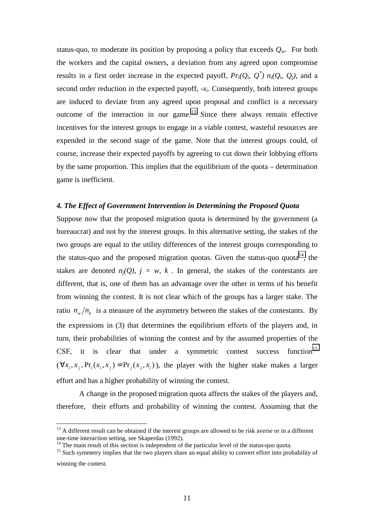status-quo, to moderate its position by proposing a policy that exceeds  $Q_w$ . For both the workers and the capital owners, a deviation from any agreed upon compromise results in a first order increase in the expected payoff,  $Pr_i(Q_i, Q^*)$   $n_i(Q_i, Q_j)$ , and a second order reduction in the expected payoff, -*xi*. Consequently, both interest groups are induced to deviate from any agreed upon proposal and conflict is a necessary outcome of the interaction in our game.<sup>13</sup> Since there always remain effective incentives for the interest groups to engage in a viable contest, wasteful resources are expended in the second stage of the game. Note that the interest groups could, of course, increase their expected payoffs by agreeing to cut down their lobbying efforts by the same proportion. This implies that the equilibrium of the quota – determination game is inefficient.

# *4. The Effect of Government Intervention in Determining the Proposed Quota*

Suppose now that the proposed migration quota is determined by the government (a bureaucrat) and not by the interest groups. In this alternative setting, the stakes of the two groups are equal to the utility differences of the interest groups corresponding to the status-quo and the proposed migration quotas. Given the status-quo quota $14$ , the stakes are denoted  $n_j(Q)$ ,  $j = w$ , k . In general, the stakes of the contestants are different, that is, one of them has an advantage over the other in terms of his benefit from winning the contest. It is not clear which of the groups has a larger stake. The ratio  $n_w/n_k$  is a measure of the asymmetry between the stakes of the contestants. By the expressions in (3) that determines the equilibrium efforts of the players and, in turn, their probabilities of winning the contest and by the assumed properties of the CSF, it is clear that under a symmetric contest success function<sup>15</sup>  $(\forall x_i, x_j, \Pr_i(x_i, x_j) = \Pr_i(x_i, x_i)$ , the player with the higher stake makes a larger effort and has a higher probability of winning the contest.

A change in the proposed migration quota affects the stakes of the players and, therefore, their efforts and probability of winning the contest. Assuming that the

<sup>&</sup>lt;sup>13</sup> A different result can be obtained if the interest groups are allowed to be risk averse or in a different one-time interaction setting, see Skaperdas (1992).

 $14$  The main result of this section is independent of the particular level of the status-quo quota.

<sup>&</sup>lt;sup>15</sup> Such symmetry implies that the two players share an equal ability to convert effort into probability of winning the contest.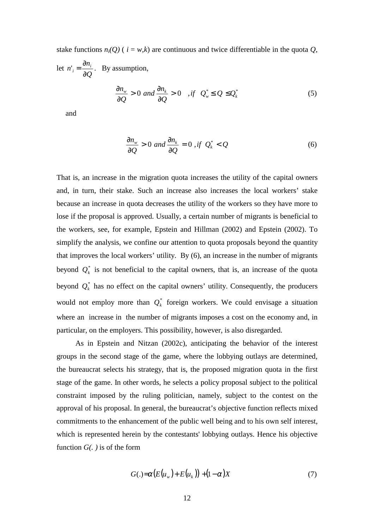stake functions  $n_i(Q)$  ( $i = w, k$ ) are continuous and twice differentiable in the quota *Q*, let *Q*  $n_i' = \frac{\partial n_i}{\partial Q}$  $\sum_{i}^{\mathbf{r}} = \frac{\partial n_i}{\partial \mathcal{P}}$ . By assumption,

$$
\frac{\partial n_w}{\partial Q} > 0 \text{ and } \frac{\partial n_k}{\partial Q} > 0 \quad \text{, if} \quad Q_w^* \le Q \le Q_k^* \tag{5}
$$

and

$$
\frac{\partial n_w}{\partial Q} > 0 \text{ and } \frac{\partial n_k}{\partial Q} = 0 \text{ , if } Q_k^* < Q \tag{6}
$$

That is, an increase in the migration quota increases the utility of the capital owners and, in turn, their stake. Such an increase also increases the local workers' stake because an increase in quota decreases the utility of the workers so they have more to lose if the proposal is approved. Usually, a certain number of migrants is beneficial to the workers, see, for example, Epstein and Hillman (2002) and Epstein (2002). To simplify the analysis, we confine our attention to quota proposals beyond the quantity that improves the local workers' utility. By (6), an increase in the number of migrants beyond  $Q_k^*$  is not beneficial to the capital owners, that is, an increase of the quota beyond  $Q_k^*$  has no effect on the capital owners' utility. Consequently, the producers would not employ more than  $Q_k^*$  foreign workers. We could envisage a situation where an increase in the number of migrants imposes a cost on the economy and, in particular, on the employers. This possibility, however, is also disregarded.

 As in Epstein and Nitzan (2002c), anticipating the behavior of the interest groups in the second stage of the game, where the lobbying outlays are determined, the bureaucrat selects his strategy, that is, the proposed migration quota in the first stage of the game. In other words, he selects a policy proposal subject to the political constraint imposed by the ruling politician, namely, subject to the contest on the approval of his proposal. In general, the bureaucrat's objective function reflects mixed commitments to the enhancement of the public well being and to his own self interest, which is represented herein by the contestants' lobbying outlays. Hence his objective function *G(. )* is of the form

$$
G(.) = \alpha \big( E(u_w) + E(u_k) \big) + (1 - \alpha)X \tag{7}
$$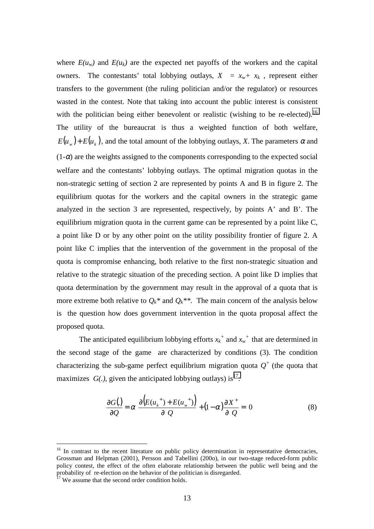where  $E(u_w)$  and  $E(u_k)$  are the expected net payoffs of the workers and the capital owners. The contestants' total lobbying outlays,  $X = x_w + x_k$ , represent either transfers to the government (the ruling politician and/or the regulator) or resources wasted in the contest. Note that taking into account the public interest is consistent with the politician being either benevolent or realistic (wishing to be re-elected).<sup>16</sup> The utility of the bureaucrat is thus a weighted function of both welfare,  $E(u_w) + E(u_k)$ , and the total amount of the lobbying outlays, *X*. The parameters  $\alpha$  and  $(1-\alpha)$  are the weights assigned to the components corresponding to the expected social welfare and the contestants' lobbying outlays. The optimal migration quotas in the non-strategic setting of section 2 are represented by points A and B in figure 2. The equilibrium quotas for the workers and the capital owners in the strategic game analyzed in the section 3 are represented, respectively, by points A' and B'. The equilibrium migration quota in the current game can be represented by a point like C, a point like D or by any other point on the utility possibility frontier of figure 2. A point like C implies that the intervention of the government in the proposal of the quota is compromise enhancing, both relative to the first non-strategic situation and relative to the strategic situation of the preceding section. A point like D implies that quota determination by the government may result in the approval of a quota that is more extreme both relative to  $Q_k^*$  and  $Q_k^{**}$ . The main concern of the analysis below is the question how does government intervention in the quota proposal affect the proposed quota.

The anticipated equilibrium lobbying efforts  $x_k^+$  and  $x_w^+$  that are determined in the second stage of the game are characterized by conditions (3). The condition characterizing the sub-game perfect equilibrium migration quota  $Q^+$  (the quota that maximizes  $G(.)$ , given the anticipated lobbying outlays) is<sup>17</sup>:

$$
\frac{\partial G(.)}{\partial Q} = \alpha \frac{\partial (E(u_{k}^{+}) + E(u_{w}^{+}))}{\partial Q} + (1 - \alpha) \frac{\partial X^{+}}{\partial Q} = 0
$$
\n(8)

<sup>&</sup>lt;sup>16</sup> In contrast to the recent literature on public policy determination in representative democracies, Grossman and Helpman (2001), Persson and Tabellini (200o), in our two-stage reduced-form public policy contest, the effect of the often elaborate relationship between the public well being and the probability of re-election on the behavior of the politician is disregarded.

 $17$  We assume that the second order condition holds.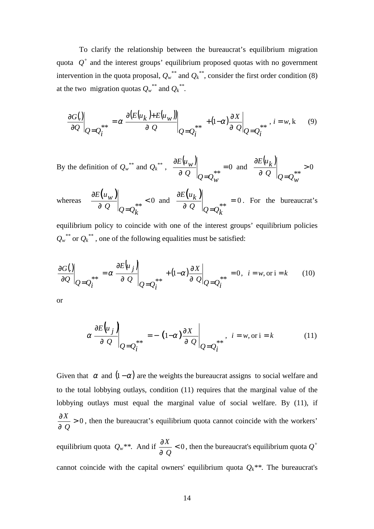To clarify the relationship between the bureaucrat's equilibrium migration quota *Q+* and the interest groups' equilibrium proposed quotas with no government intervention in the quota proposal,  $Q_w^*$  and  $Q_k^*$ , consider the first order condition (8) at the two migration quotas  $Q_w^{**}$  and  $Q_k^{**}$ .

$$
\frac{\partial G(.)}{\partial Q}\Big|_{Q=Q_i^{**}} = \alpha \left. \frac{\partial (E(u_k) + E(u_w))}{\partial Q}\right|_{Q=Q_i^{**}} + (1-\alpha) \frac{\partial X}{\partial Q}\Big|_{Q=Q_i^{**}}, i = w, k \qquad (9)
$$

By the definition of  $Q_w^{**}$  and  $Q_k^{**}$ ,  $\frac{\partial E(u_w)}{\partial Q}$  = 0 \*\* = ∂  $\varrho$   $|_{\mathcal{Q} =}$ ∂  $Q \big|_{Q = Q_W^{**}}$  $\frac{E(u_w)}{2.8}$  = 0 and  $\frac{\partial E(u_k)}{\partial x}$  > 0 \*\* > ∂  $\varrho$   $|_{\mathcal{Q} =}$ ∂  $\mathcal{Q}$   $\big|_{\mathcal{Q}=\mathcal{Q}^\ast_\mathcal{W}}$  $\frac{E(u_k)}{2\pi}$  > 0

whereas  $\frac{\partial E(u_w)}{\partial w}$  < 0 \*\*  $\lt$ ∂  $Q$   $|_{Q=}$ ∂  $\varrho$   $|_{Q=Q_k^*}$  $\frac{E(u_w)}{2.6}$  < 0 and  $\frac{\partial E(u_k)}{\partial u_k}$  = 0  $\left.\frac{\partial Q}{\partial Q}\right|_{Q=Q_k^{***}}$ ∂  $\varrho$   $|_{Q=Q_k^*}$  $\left| \frac{E(u_k)}{v_k} \right|$  = 0. For the bureaucrat's

equilibrium policy to coincide with one of the interest groups' equilibrium policies  $Q_w^{**}$  or  $Q_k^{**}$ , one of the following equalities must be satisfied:

$$
\frac{\partial G(.)}{\partial Q}\Big|_{Q=Q_i^{**}} = \alpha \left. \frac{\partial E(u_j)}{\partial Q}\right|_{Q=Q_i^{**}} + (1-\alpha) \frac{\partial X}{\partial Q}\Big|_{Q=Q_i^{**}} = 0, \quad i = w, \text{or } i = k \tag{10}
$$

or

$$
\alpha \frac{\partial E(u_j)}{\partial Q} \bigg|_{Q=Q_i^{**}} = - (1-\alpha) \frac{\partial X}{\partial Q} \bigg|_{Q=Q_i^{**}}, \ i = w, \text{or } i = k \tag{11}
$$

Given that  $\alpha$  and  $(1 - \alpha)$  are the weights the bureaucrat assigns to social welfare and to the total lobbying outlays, condition (11) requires that the marginal value of the lobbying outlays must equal the marginal value of social welfare. By (11), if  $> 0$ ∂ ∂ *Q*  $\frac{X}{\sqrt{2}} > 0$ , then the bureaucrat's equilibrium quota cannot coincide with the workers'

equilibrium quota  $Q_w^{**}$ . And if  $\frac{Q_w}{Q}$  < 0 ∂ ∂ *Q*  $\frac{X}{\sqrt{2}}$  < 0, then the bureaucrat's equilibrium quota  $Q^+$ cannot coincide with the capital owners' equilibrium quota  $Q_k^{**}$ . The bureaucrat's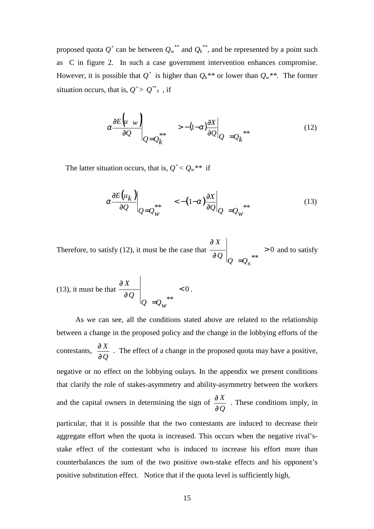proposed quota  $Q^+$  can be between  $Q_w^{**}$  and  $Q_k^{**}$ , and be represented by a point such as C in figure 2. In such a case government intervention enhances compromise. However, it is possible that  $Q^+$  is higher than  $Q_k^{**}$  or lower than  $Q_w^{**}$ . The former situation occurs, that is,  $Q^+$  >  $Q^{*^*}$ , if

$$
\alpha \frac{\partial E(u \ w)}{\partial Q}\Big|_{Q=Q_k^{***}} \qquad \qquad > - (1-\alpha) \frac{\partial X}{\partial Q}\Big|_{Q=Q_k^{**}} \tag{12}
$$

The latter situation occurs, that is,  $Q^+ < Q_w$ <sup>\*\*</sup> if

$$
\alpha \frac{\partial E(u_k)}{\partial Q}\Big|_{Q=Q_W^{***}} \quad < - (1-\alpha) \frac{\partial X}{\partial Q}\Big|_{Q=Q_W^{***}} \tag{13}
$$

Therefore, to satisfy (12), it must be the case that  $\frac{1}{\sqrt{2}}$  > 0 \*\* >  $\left. \partial \varOmega \right. \left. \right| _{\mathcal{Q}}$  = ∂  $Q = Q_K$ *Q X* and to satisfy

(13), it must be that 
$$
\frac{\partial X}{\partial Q}\Bigg|_{Q} = Q_{w}^{**}
$$
 < 0.

 As we can see, all the conditions stated above are related to the relationship between a change in the proposed policy and the change in the lobbying efforts of the contestants,  $\frac{\partial X}{\partial Q}$ ∂  $\frac{\partial X}{\partial \sigma}$ . The effect of a change in the proposed quota may have a positive, negative or no effect on the lobbying oulays. In the appendix we present conditions that clarify the role of stakes-asymmetry and ability-asymmetry between the workers and the capital owners in determining the sign of  $\frac{\partial X}{\partial Q}$ ∂  $\frac{\partial X}{\partial \rho}$ . These conditions imply, in particular, that it is possible that the two contestants are induced to decrease their aggregate effort when the quota is increased. This occurs when the negative rival'sstake effect of the contestant who is induced to increase his effort more than counterbalances the sum of the two positive own-stake effects and his opponent's positive substitution effect. Notice that if the quota level is sufficiently high,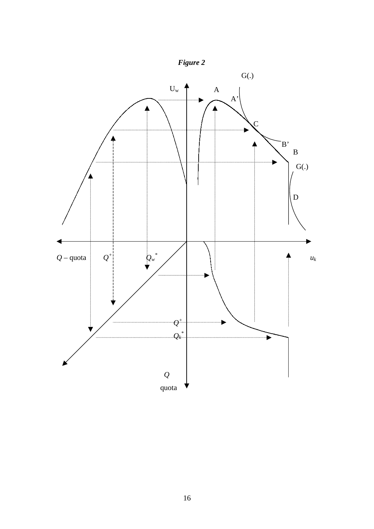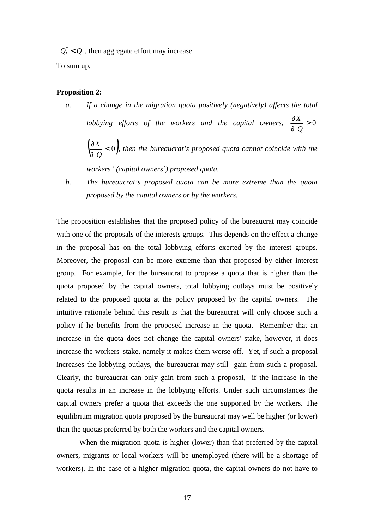$Q_k^*$  <  $Q$  , then aggregate effort may increase.

To sum up,

### **Proposition 2:**

- *a. If a change in the migration quota positively (negatively) affects the total lobbying efforts of the workers and the capital owners,*  $\frac{0.4}{2} > 0$ ∂ ∂ *Q X*  $\left(\frac{\partial X}{\partial Q}<0\right)$ *Q*  $\frac{X}{\sigma}$  < 0, then the bureaucrat's proposed quota cannot coincide with the *workers ' (capital owners') proposed quota.*
- *b. The bureaucrat's proposed quota can be more extreme than the quota proposed by the capital owners or by the workers.*

The proposition establishes that the proposed policy of the bureaucrat may coincide with one of the proposals of the interests groups. This depends on the effect a change in the proposal has on the total lobbying efforts exerted by the interest groups. Moreover, the proposal can be more extreme than that proposed by either interest group. For example, for the bureaucrat to propose a quota that is higher than the quota proposed by the capital owners, total lobbying outlays must be positively related to the proposed quota at the policy proposed by the capital owners. The intuitive rationale behind this result is that the bureaucrat will only choose such a policy if he benefits from the proposed increase in the quota. Remember that an increase in the quota does not change the capital owners' stake, however, it does increase the workers' stake, namely it makes them worse off. Yet, if such a proposal increases the lobbying outlays, the bureaucrat may still gain from such a proposal. Clearly, the bureaucrat can only gain from such a proposal, if the increase in the quota results in an increase in the lobbying efforts. Under such circumstances the capital owners prefer a quota that exceeds the one supported by the workers. The equilibrium migration quota proposed by the bureaucrat may well be higher (or lower) than the quotas preferred by both the workers and the capital owners.

When the migration quota is higher (lower) than that preferred by the capital owners, migrants or local workers will be unemployed (there will be a shortage of workers). In the case of a higher migration quota, the capital owners do not have to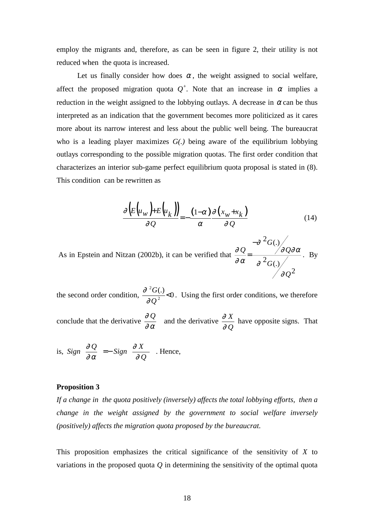employ the migrants and, therefore, as can be seen in figure 2, their utility is not reduced when the quota is increased.

Let us finally consider how does  $\alpha$ , the weight assigned to social welfare, affect the proposed migration quota  $Q^+$ . Note that an increase in  $\alpha$  implies a reduction in the weight assigned to the lobbying outlays. A decrease in  $\alpha$  can be thus interpreted as an indication that the government becomes more politicized as it cares more about its narrow interest and less about the public well being. The bureaucrat who is a leading player maximizes *G(.)* being aware of the equilibrium lobbying outlays corresponding to the possible migration quotas. The first order condition that characterizes an interior sub-game perfect equilibrium quota proposal is stated in (8). This condition can be rewritten as

$$
\frac{\partial \left( E(u_w) + E(u_k) \right)}{\partial Q} = -\frac{(1-\alpha)\partial (x_w + x_k)}{\alpha \partial Q} \tag{14}
$$

 As in Epstein and Nitzan (2002b), it can be verified that 2  $^{2}G(.)$  $^{2}G(.)$ *Q G Q G Q* ∂ ∂  $\partial O\partial\alpha$ ∂ ∂ <sup>α</sup>  $\partial$   $\overline{O}$   $\overline{\phantom{O}}$  $=\frac{1}{2}$ ,  $\frac{\partial \varrho \partial \alpha}{\partial x}$ . By

the second order condition,  $\frac{\partial^2 G(.)}{\partial \Omega^2} < 0$ 2  $\lt$ *Q G*  $\frac{\partial^2 G(.)}{\partial Q^2}$ <0. Using the first order conditions, we therefore conclude that the derivative  $\frac{\partial Q}{\partial \alpha}$  and the derivative *Q X*  $\frac{\partial X}{\partial O}$  have opposite signs. That

is, 
$$
Sign\left(\frac{\partial Q}{\partial \alpha}\right) = -Sign\left(\frac{\partial X}{\partial Q}\right)
$$
. Hence,

#### **Proposition 3**

*If a change in the quota positively (inversely) affects the total lobbying efforts, then a change in the weight assigned by the government to social welfare inversely (positively) affects the migration quota proposed by the bureaucrat.* 

This proposition emphasizes the critical significance of the sensitivity of *X* to variations in the proposed quota *Q* in determining the sensitivity of the optimal quota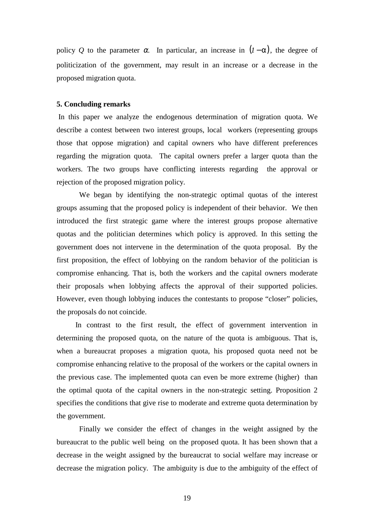policy *Q* to the parameter  $\alpha$ . In particular, an increase in  $(I - \alpha)$ , the degree of politicization of the government, may result in an increase or a decrease in the proposed migration quota.

#### **5. Concluding remarks**

 In this paper we analyze the endogenous determination of migration quota. We describe a contest between two interest groups, local workers (representing groups those that oppose migration) and capital owners who have different preferences regarding the migration quota. The capital owners prefer a larger quota than the workers. The two groups have conflicting interests regarding the approval or rejection of the proposed migration policy.

 We began by identifying the non-strategic optimal quotas of the interest groups assuming that the proposed policy is independent of their behavior. We then introduced the first strategic game where the interest groups propose alternative quotas and the politician determines which policy is approved. In this setting the government does not intervene in the determination of the quota proposal. By the first proposition, the effect of lobbying on the random behavior of the politician is compromise enhancing. That is, both the workers and the capital owners moderate their proposals when lobbying affects the approval of their supported policies. However, even though lobbying induces the contestants to propose "closer" policies, the proposals do not coincide.

 In contrast to the first result, the effect of government intervention in determining the proposed quota, on the nature of the quota is ambiguous. That is, when a bureaucrat proposes a migration quota, his proposed quota need not be compromise enhancing relative to the proposal of the workers or the capital owners in the previous case. The implemented quota can even be more extreme (higher) than the optimal quota of the capital owners in the non-strategic setting. Proposition 2 specifies the conditions that give rise to moderate and extreme quota determination by the government.

 Finally we consider the effect of changes in the weight assigned by the bureaucrat to the public well being on the proposed quota. It has been shown that a decrease in the weight assigned by the bureaucrat to social welfare may increase or decrease the migration policy. The ambiguity is due to the ambiguity of the effect of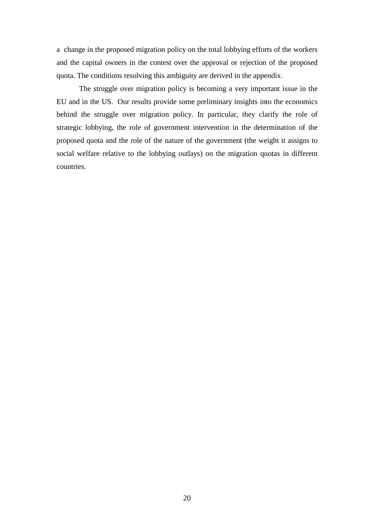a change in the proposed migration policy on the total lobbying efforts of the workers and the capital owners in the contest over the approval or rejection of the proposed quota. The conditions resolving this ambiguity are derived in the appendix.

The struggle over migration policy is becoming a very important issue in the EU and in the US. Our results provide some preliminary insights into the economics behind the struggle over migration policy. In particular, they clarify the role of strategic lobbying, the role of government intervention in the determination of the proposed quota and the role of the nature of the government (the weight it assigns to social welfare relative to the lobbying outlays) on the migration quotas in different countries.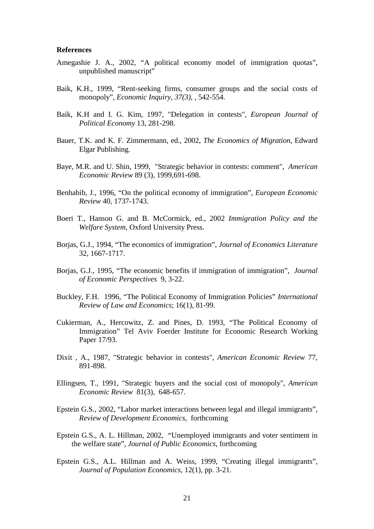#### **References**

- Amegashie J. A., 2002, "A political economy model of immigration quotas", unpublished manuscript"
- Baik, K.H., 1999, "Rent-seeking firms, consumer groups and the social costs of monopoly", *Economic Inquiry, 37(3),* , 542-554.
- Baik, K.H and I. G. Kim, 1997, "Delegation in contests", *European Journal of Political Economy* 13, 281-298.
- Bauer, T.K. and K. F. Zimmermann, ed., 2002, *The Economics of Migration,* Edward Elgar Publishing.
- Baye, M.R. and U. Shin, 1999, "Strategic behavior in contests: comment", *American Economic Review* 89 (3), 1999,691-698.
- Benhabib, J., 1996, "On the political economy of immigration", *European Economic Review* 40, 1737-1743.
- Boeri T., Hanson G. and B. McCormick, ed., 2002 *Immigration Policy and the Welfare System,* Oxford University Press.
- Borias, G.J., 1994, "The economics of immigration", *Journal of Economics Literature* 32, 1667-1717.
- Borjas, G.J., 1995, "The economic benefits if immigration of immigration", *Journal of Economic Perspectives* 9, 3-22.
- Buckley, F.H. 1996, "The Political Economy of Immigration Policies" *International Review of Law and Economics*; 16(1), 81-99.
- Cukierman, A., Hercowitz, Z. and Pines, D. 1993, "The Political Economy of Immigration" Tel Aviv Foerder Institute for Economic Research Working Paper 17/93.
- Dixit , A., 1987, "Strategic behavior in contests", *American Economic Review* 77, 891-898.
- Ellingsen, T., 1991, "Strategic buyers and the social cost of monopoly", *American Economic Review* 81(3), 648-657.
- Epstein G.S., 2002, "Labor market interactions between legal and illegal immigrants", *Review of Development Economics*, forthcoming
- Epstein G.S., A. L. Hillman, 2002, "Unemployed immigrants and voter sentiment in the welfare state", *Journal of Public Economics*, forthcoming
- Epstein G.S., A.L. Hillman and A. Weiss, 1999, "Creating illegal immigrants", *Journal of Population Economics*, 12(1), pp. 3-21.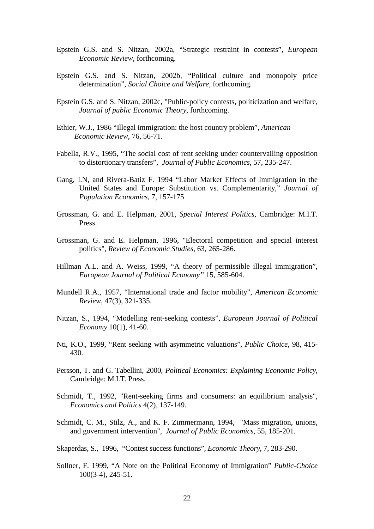- Epstein G.S. and S. Nitzan, 2002a, "Strategic restraint in contests", *European Economic Review*, forthcoming.
- Epstein G.S. and S. Nitzan, 2002b, "Political culture and monopoly price determination", *Social Choice and Welfare,* forthcoming.
- Epstein G.S. and S. Nitzan, 2002c, "Public-policy contests, politicization and welfare, *Journal of public Economic Theory*, forthcoming.
- Ethier, W.J., 1986 "Illegal immigration: the host country problem", *American Economic Review*, 76, 56-71.
- Fabella, R.V., 1995, "The social cost of rent seeking under countervailing opposition to distortionary transfers", *Journal of Public Economics*, 57, 235-247.
- Gang, I.N, and Rivera-Batiz F. 1994 "Labor Market Effects of Immigration in the United States and Europe: Substitution vs. Complementarity," *Journal of Population Economics*, 7, 157-175
- Grossman, G. and E. Helpman, 2001, *Special Interest Politics*, Cambridge: M.I.T. Press.
- Grossman, G. and E. Helpman, 1996, "Electoral competition and special interest politics", *Review of Economic Studies*, 63, 265-286.
- Hillman A.L. and A. Weiss, 1999, "A theory of permissible illegal immigration", *European Journal of Political Economy"* 15, 585-604.
- Mundell R.A., 1957, "International trade and factor mobility", *American Economic Review*, 47(3), 321-335.
- Nitzan, S., 1994, "Modelling rent-seeking contests", *European Journal of Political Economy* 10(1), 41-60.
- Nti, K.O., 1999, "Rent seeking with asymmetric valuations", *Public Choice*, 98, 415- 430.
- Persson, T. and G. Tabellini, 2000, *Political Economics: Explaining Economic Policy*, Cambridge: M.I.T. Press.
- Schmidt, T., 1992, "Rent-seeking firms and consumers: an equilibrium analysis", *Economics and Politics* 4(2), 137-149.
- Schmidt, C. M., Stilz, A., and K. F. Zimmermann, 1994, "Mass migration, unions, and government intervention", *Journal of Public Economics*, 55, 185-201.
- Skaperdas, S., 1996, "Contest success functions", *Economic Theory*, 7, 283-290.
- Sollner, F. 1999, "A Note on the Political Economy of Immigration" *Public-Choice* 100(3-4), 245-51.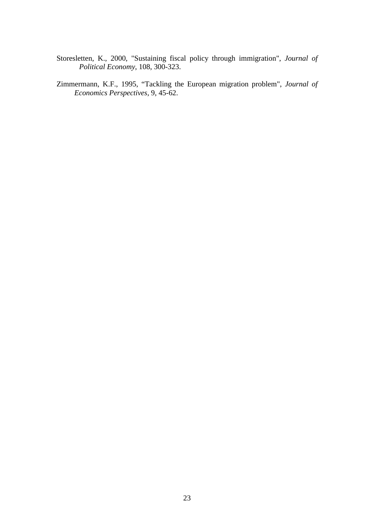- Storesletten, K., 2000, "Sustaining fiscal policy through immigration", *Journal of Political Economy*, 108, 300-323.
- Zimmermann, K.F., 1995, "Tackling the European migration problem", *Journal of Economics Perspectives*, 9, 45-62.